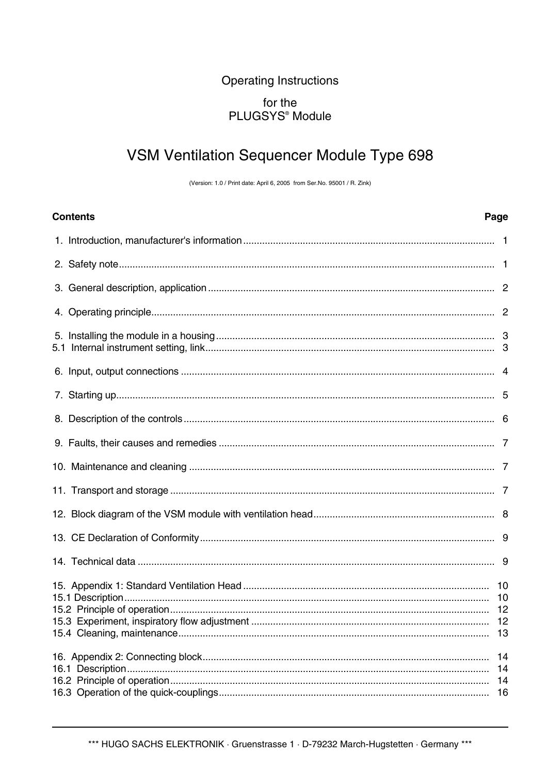## **Operating Instructions** for the PLUGSYS<sup>®</sup> Module

# VSM Ventilation Sequencer Module Type 698

(Version: 1.0 / Print date: April 6, 2005 from Ser.No. 95001 / R. Zink)

| <b>Contents</b> | Page |
|-----------------|------|
|                 |      |
|                 |      |
|                 |      |
|                 |      |
|                 |      |
|                 |      |
|                 |      |
|                 |      |
|                 |      |
|                 |      |
|                 |      |
|                 |      |
|                 |      |
|                 |      |
|                 |      |
|                 | 14   |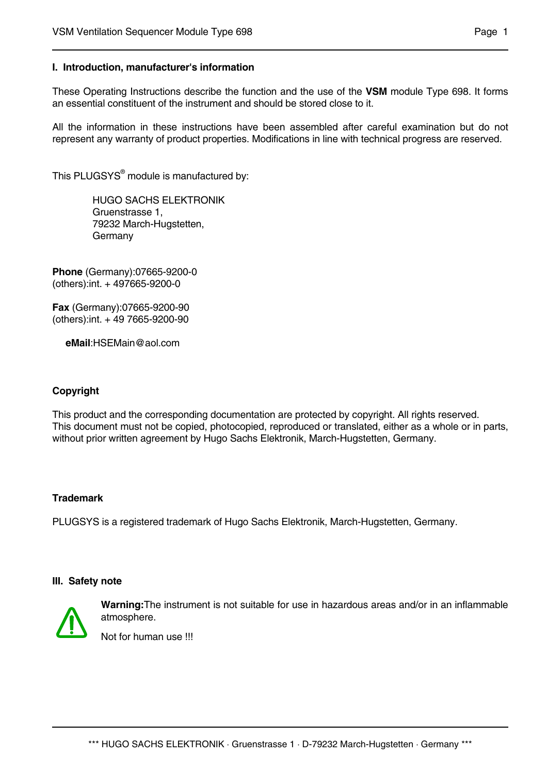#### **I. Introduction, manufacturer's information**

These Operating Instructions describe the function and the use of the **VSM** module Type 698. It forms an essential constituent of the instrument and should be stored close to it.

All the information in these instructions have been assembled after careful examination but do not represent any warranty of product properties. Modifications in line with technical progress are reserved.

This PLUGSYS<sup>®</sup> module is manufactured by:

HUGO SACHS ELEKTRONIK Gruenstrasse 1, 79232 March-Hugstetten, Germany

**Phone** (Germany):07665-9200-0 (others):int. + 497665-9200-0

**Fax** (Germany):07665-9200-90 (others):int. + 49 7665-9200-90

 **eMail**:HSEMain@aol.com

#### **Copyright**

This product and the corresponding documentation are protected by copyright. All rights reserved. This document must not be copied, photocopied, reproduced or translated, either as a whole or in parts, without prior written agreement by Hugo Sachs Elektronik, March-Hugstetten, Germany.

#### **Trademark**

PLUGSYS is a registered trademark of Hugo Sachs Elektronik, March-Hugstetten, Germany.

#### **III. Safety note**



**Warning:**The instrument is not suitable for use in hazardous areas and/or in an inflammable atmosphere.

Not for human use !!!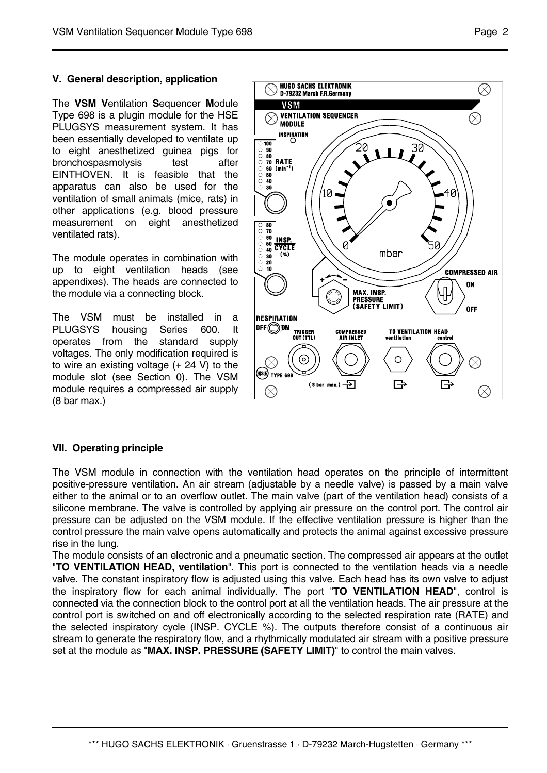## **V. General description, application**

The **VSM V**entilation **S**equencer **M**odule Type 698 is a plugin module for the HSE PLUGSYS measurement system. It has been essentially developed to ventilate up to eight anesthetized guinea pigs for bronchospasmolysis test after EINTHOVEN. It is feasible that the apparatus can also be used for the ventilation of small animals (mice, rats) in other applications (e.g. blood pressure measurement on eight anesthetized ventilated rats).

The module operates in combination with up to eight ventilation heads (see appendixes). The heads are connected to the module via a connecting block.

The VSM must be installed in a PLUGSYS housing Series 600. It operates from the standard supply voltages. The only modification required is to wire an existing voltage (+ 24 V) to the module slot (see Section 0). The VSM module requires a compressed air supply (8 bar max.)



#### **VII. Operating principle**

The VSM module in connection with the ventilation head operates on the principle of intermittent positive-pressure ventilation. An air stream (adjustable by a needle valve) is passed by a main valve either to the animal or to an overflow outlet. The main valve (part of the ventilation head) consists of a silicone membrane. The valve is controlled by applying air pressure on the control port. The control air pressure can be adjusted on the VSM module. If the effective ventilation pressure is higher than the control pressure the main valve opens automatically and protects the animal against excessive pressure rise in the lung.

The module consists of an electronic and a pneumatic section. The compressed air appears at the outlet "**TO VENTILATION HEAD, ventilation**". This port is connected to the ventilation heads via a needle valve. The constant inspiratory flow is adjusted using this valve. Each head has its own valve to adjust the inspiratory flow for each animal individually. The port "**TO VENTILATION HEAD**", control is connected via the connection block to the control port at all the ventilation heads. The air pressure at the control port is switched on and off electronically according to the selected respiration rate (RATE) and the selected inspiratory cycle (INSP. CYCLE %). The outputs therefore consist of a continuous air stream to generate the respiratory flow, and a rhythmically modulated air stream with a positive pressure set at the module as "**MAX. INSP. PRESSURE (SAFETY LIMIT)**" to control the main valves.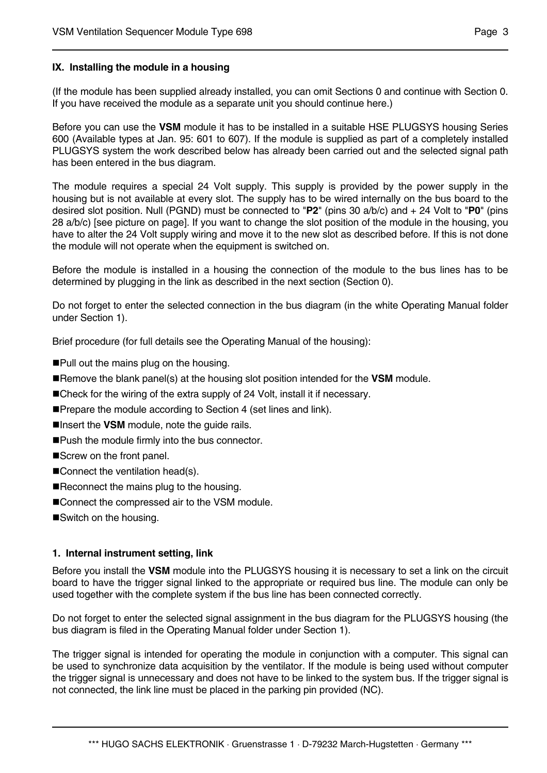## **IX. Installing the module in a housing**

(If the module has been supplied already installed, you can omit Sections 0 and continue with Section 0. If you have received the module as a separate unit you should continue here.)

Before you can use the **VSM** module it has to be installed in a suitable HSE PLUGSYS housing Series 600 (Available types at Jan. 95: 601 to 607). If the module is supplied as part of a completely installed PLUGSYS system the work described below has already been carried out and the selected signal path has been entered in the bus diagram.

The module requires a special 24 Volt supply. This supply is provided by the power supply in the housing but is not available at every slot. The supply has to be wired internally on the bus board to the desired slot position. Null (PGND) must be connected to "**P2**" (pins 30 a/b/c) and + 24 Volt to "**P0**" (pins 28 a/b/c) [see picture on page]. If you want to change the slot position of the module in the housing, you have to alter the 24 Volt supply wiring and move it to the new slot as described before. If this is not done the module will not operate when the equipment is switched on.

Before the module is installed in a housing the connection of the module to the bus lines has to be determined by plugging in the link as described in the next section (Section 0).

Do not forget to enter the selected connection in the bus diagram (in the white Operating Manual folder under Section 1).

Brief procedure (for full details see the Operating Manual of the housing):

Pull out the mains plug on the housing.

- Remove the blank panel(s) at the housing slot position intended for the **VSM** module.
- Check for the wiring of the extra supply of 24 Volt, install it if necessary.
- **Prepare the module according to Section 4 (set lines and link).**
- ■Insert the **VSM** module, note the guide rails.
- ■Push the module firmly into the bus connector.
- Screw on the front panel.
- Connect the ventilation head(s).
- Reconnect the mains plug to the housing.
- Connect the compressed air to the VSM module.
- Switch on the housing.

#### **1. Internal instrument setting, link**

Before you install the **VSM** module into the PLUGSYS housing it is necessary to set a link on the circuit board to have the trigger signal linked to the appropriate or required bus line. The module can only be used together with the complete system if the bus line has been connected correctly.

Do not forget to enter the selected signal assignment in the bus diagram for the PLUGSYS housing (the bus diagram is filed in the Operating Manual folder under Section 1).

The trigger signal is intended for operating the module in conjunction with a computer. This signal can be used to synchronize data acquisition by the ventilator. If the module is being used without computer the trigger signal is unnecessary and does not have to be linked to the system bus. If the trigger signal is not connected, the link line must be placed in the parking pin provided (NC).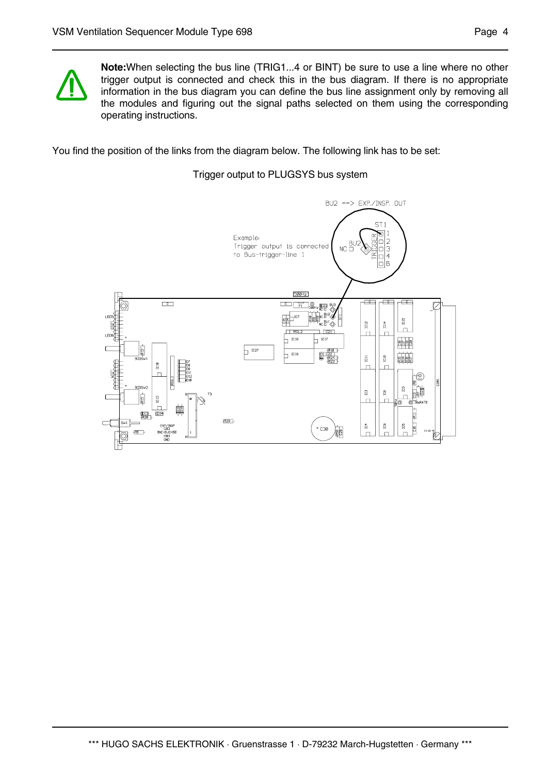

**Note:**When selecting the bus line (TRIG1...4 or BINT) be sure to use a line where no other trigger output is connected and check this in the bus diagram. If there is no appropriate information in the bus diagram you can define the bus line assignment only by removing all the modules and figuring out the signal paths selected on them using the corresponding operating instructions.

You find the position of the links from the diagram below. The following link has to be set:

Trigger output to PLUGSYS bus system

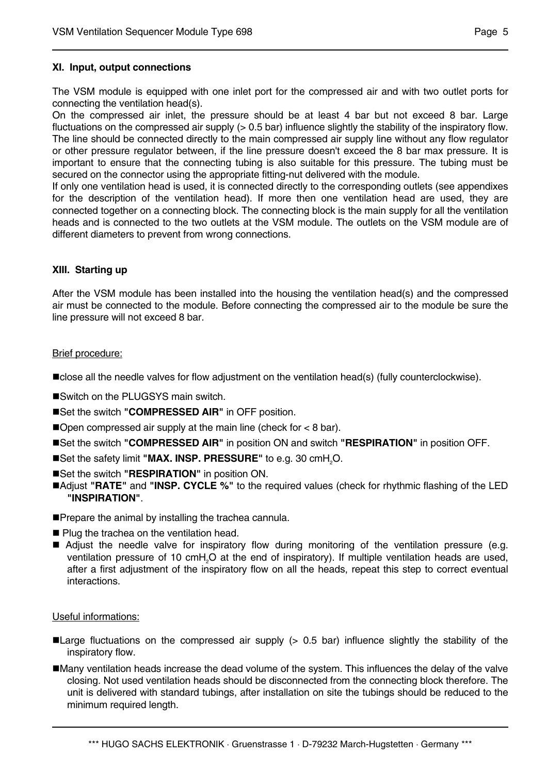## **XI. Input, output connections**

The VSM module is equipped with one inlet port for the compressed air and with two outlet ports for connecting the ventilation head(s).

On the compressed air inlet, the pressure should be at least 4 bar but not exceed 8 bar. Large fluctuations on the compressed air supply (> 0.5 bar) influence slightly the stability of the inspiratory flow. The line should be connected directly to the main compressed air supply line without any flow regulator or other pressure regulator between, if the line pressure doesn't exceed the 8 bar max pressure. It is important to ensure that the connecting tubing is also suitable for this pressure. The tubing must be secured on the connector using the appropriate fitting-nut delivered with the module.

If only one ventilation head is used, it is connected directly to the corresponding outlets (see appendixes for the description of the ventilation head). If more then one ventilation head are used, they are connected together on a connecting block. The connecting block is the main supply for all the ventilation heads and is connected to the two outlets at the VSM module. The outlets on the VSM module are of different diameters to prevent from wrong connections.

#### **XIII. Starting up**

After the VSM module has been installed into the housing the ventilation head(s) and the compressed air must be connected to the module. Before connecting the compressed air to the module be sure the line pressure will not exceed 8 bar.

#### Brief procedure:

close all the needle valves for flow adjustment on the ventilation head(s) (fully counterclockwise).

- ■Switch on the PLUGSYS main switch.
- ■Set the switch "**COMPRESSED AIR**" in OFF position.
- **Open compressed air supply at the main line (check for**  $< 8$  **bar).**
- Set the switch **"COMPRESSED AIR"** in position ON and switch **"RESPIRATION"** in position OFF.
- ■Set the safety limit "**MAX. INSP. PRESSURE**" to e.g. 30 cmH<sub>2</sub>O.
- ■Set the switch "RESPIRATION" in position ON.
- Adjust **"RATE"** and **"INSP. CYCLE %"** to the required values (check for rhythmic flashing of the LED **"INSPIRATION"**.
- **Prepare the animal by installing the trachea cannula.**
- Plug the trachea on the ventilation head.
- Adjust the needle valve for inspiratory flow during monitoring of the ventilation pressure (e.g. ventilation pressure of 10 cmH<sub>2</sub>O at the end of inspiratory). If multiple ventilation heads are used, after a first adjustment of the inspiratory flow on all the heads, repeat this step to correct eventual interactions.

#### Useful informations:

- ■Large fluctuations on the compressed air supply (> 0.5 bar) influence slightly the stability of the inspiratory flow.
- Many ventilation heads increase the dead volume of the system. This influences the delay of the valve closing. Not used ventilation heads should be disconnected from the connecting block therefore. The unit is delivered with standard tubings, after installation on site the tubings should be reduced to the minimum required length.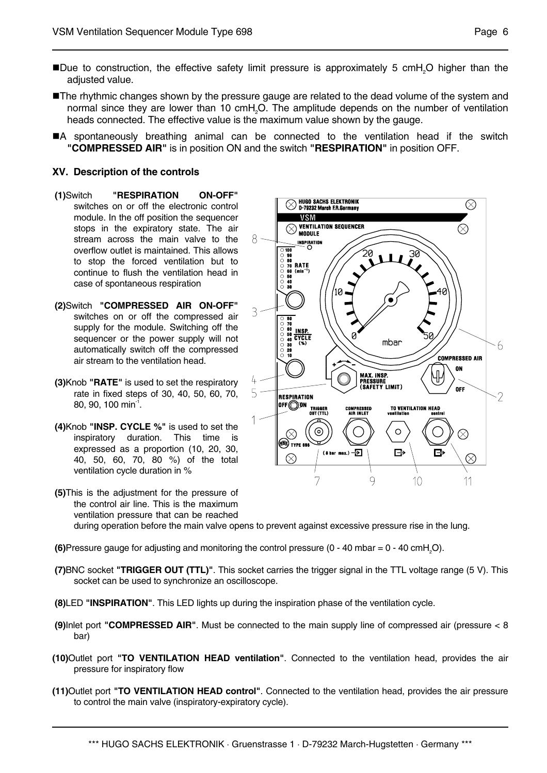- ■Due to construction, the effective safety limit pressure is approximately 5 cmH<sub>2</sub>O higher than the adjusted value.
- **The rhythmic changes shown by the pressure gauge are related to the dead volume of the system and** normal since they are lower than 10  $\text{cm}$ H<sub>2</sub>O. The amplitude depends on the number of ventilation heads connected. The effective value is the maximum value shown by the gauge.
- A spontaneously breathing animal can be connected to the ventilation head if the switch **"COMPRESSED AIR"** is in position ON and the switch **"RESPIRATION"** in position OFF.

#### **XV. Description of the controls**

- **(1)**Switch **"RESPIRATION ON-OFF"** switches on or off the electronic control module. In the off position the sequencer stops in the expiratory state. The air stream across the main valve to the overflow outlet is maintained. This allows to stop the forced ventilation but to continue to flush the ventilation head in case of spontaneous respiration
- **(2)**Switch **"COMPRESSED AIR ON-OFF"** switches on or off the compressed air supply for the module. Switching off the sequencer or the power supply will not automatically switch off the compressed air stream to the ventilation head.
- **(3)**Knob **"RATE"** is used to set the respiratory rate in fixed steps of 30, 40, 50, 60, 70, 80, 90, 100 min $^1$ .
- **(4)**Knob **"INSP. CYCLE %"** is used to set the inspiratory duration. This time is expressed as a proportion (10, 20, 30, 40, 50, 60, 70, 80 %) of the total ventilation cycle duration in %



- **(5)**This is the adjustment for the pressure of the control air line. This is the maximum ventilation pressure that can be reached during operation before the main valve opens to prevent against excessive pressure rise in the lung.
- **(6)**Pressure gauge for adjusting and monitoring the control pressure (0 40 mbar = 0 40 cmH<sub>a</sub>O).
- **(7)**BNC socket **"TRIGGER OUT (TTL)"**. This socket carries the trigger signal in the TTL voltage range (5 V). This socket can be used to synchronize an oscilloscope.
- **(8)**LED **"INSPIRATION"**. This LED lights up during the inspiration phase of the ventilation cycle.
- **(9)**Inlet port **"COMPRESSED AIR"**. Must be connected to the main supply line of compressed air (pressure < 8 bar)
- **(10)**Outlet port **"TO VENTILATION HEAD ventilation"**. Connected to the ventilation head, provides the air pressure for inspiratory flow
- **(11)**Outlet port **"TO VENTILATION HEAD control"**. Connected to the ventilation head, provides the air pressure to control the main valve (inspiratory-expiratory cycle).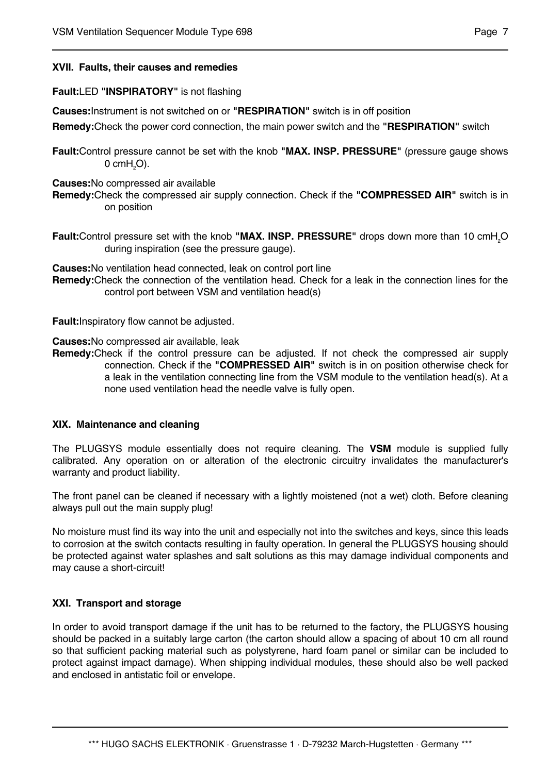#### **XVII. Faults, their causes and remedies**

#### **Fault:**LED **"INSPIRATORY"** is not flashing

**Causes:**Instrument is not switched on or **"RESPIRATION"** switch is in off position

**Remedy:**Check the power cord connection, the main power switch and the **"RESPIRATION"** switch

**Fault:**Control pressure cannot be set with the knob **"MAX. INSP. PRESSURE"** (pressure gauge shows 0 cm $\mathsf{H}_{\scriptscriptstyle{2}}\mathsf{O}$ ).

**Causes:**No compressed air available

- **Remedy:**Check the compressed air supply connection. Check if the **"COMPRESSED AIR"** switch is in on position
- **Fault:**Control pressure set with the knob "MAX. INSP. PRESSURE" drops down more than 10 cmH<sub>2</sub>O during inspiration (see the pressure gauge).

**Causes:**No ventilation head connected, leak on control port line **Remedy:**Check the connection of the ventilation head. Check for a leak in the connection lines for the control port between VSM and ventilation head(s)

**Fault:**Inspiratory flow cannot be adjusted.

**Causes:**No compressed air available, leak

**Remedy:**Check if the control pressure can be adjusted. If not check the compressed air supply connection. Check if the **"COMPRESSED AIR"** switch is in on position otherwise check for a leak in the ventilation connecting line from the VSM module to the ventilation head(s). At a none used ventilation head the needle valve is fully open.

#### **XIX. Maintenance and cleaning**

The PLUGSYS module essentially does not require cleaning. The **VSM** module is supplied fully calibrated. Any operation on or alteration of the electronic circuitry invalidates the manufacturer's warranty and product liability.

The front panel can be cleaned if necessary with a lightly moistened (not a wet) cloth. Before cleaning always pull out the main supply plug!

No moisture must find its way into the unit and especially not into the switches and keys, since this leads to corrosion at the switch contacts resulting in faulty operation. In general the PLUGSYS housing should be protected against water splashes and salt solutions as this may damage individual components and may cause a short-circuit!

#### **XXI. Transport and storage**

In order to avoid transport damage if the unit has to be returned to the factory, the PLUGSYS housing should be packed in a suitably large carton (the carton should allow a spacing of about 10 cm all round so that sufficient packing material such as polystyrene, hard foam panel or similar can be included to protect against impact damage). When shipping individual modules, these should also be well packed and enclosed in antistatic foil or envelope.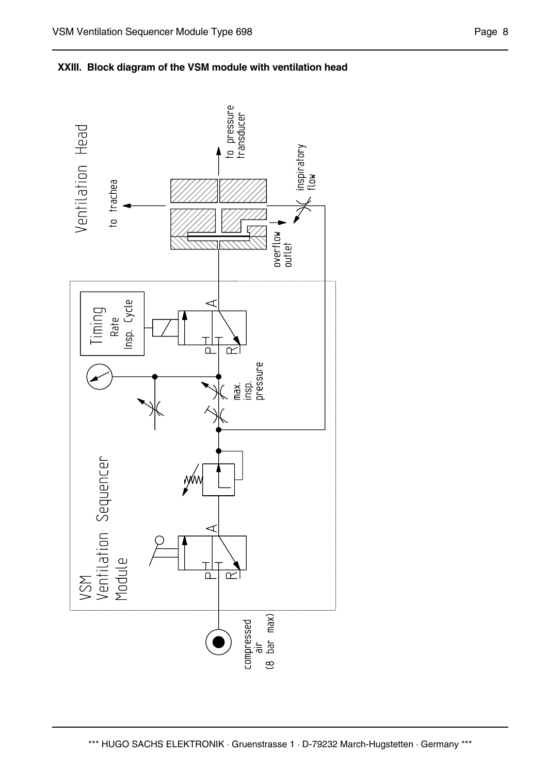

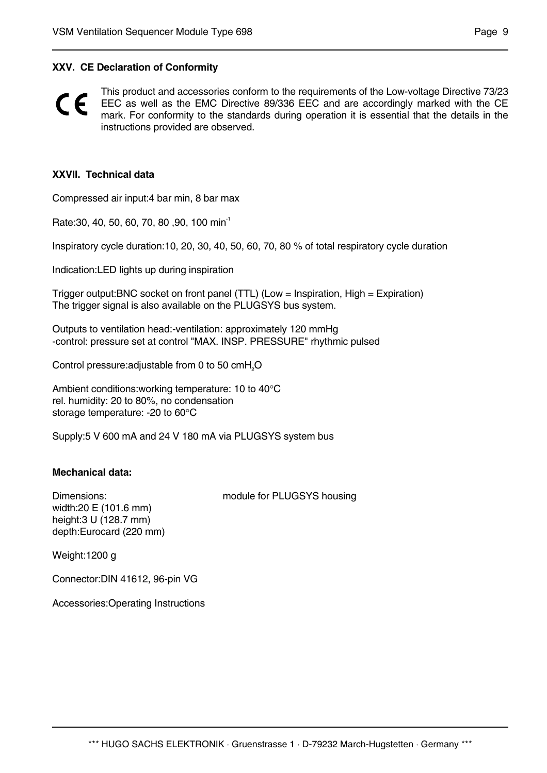#### **XXV. CE Declaration of Conformity**

This product and accessories conform to the requirements of the Low-voltage Directive 73/23  $\epsilon$ EEC as well as the EMC Directive 89/336 EEC and are accordingly marked with the CE mark. For conformity to the standards during operation it is essential that the details in the instructions provided are observed.

#### **XXVII. Technical data**

Compressed air input:4 bar min, 8 bar max

Rate: 30, 40, 50, 60, 70, 80, 90, 100 min<sup>-1</sup>

Inspiratory cycle duration:10, 20, 30, 40, 50, 60, 70, 80 % of total respiratory cycle duration

Indication:LED lights up during inspiration

Trigger output:BNC socket on front panel (TTL) (Low = Inspiration, High = Expiration) The trigger signal is also available on the PLUGSYS bus system.

Outputs to ventilation head:-ventilation: approximately 120 mmHg -control: pressure set at control "MAX. INSP. PRESSURE" rhythmic pulsed

Control pressure: adjustable from 0 to 50  $\text{cmH}_{2}$ O

Ambient conditions:working temperature: 10 to 40°C rel. humidity: 20 to 80%, no condensation storage temperature: -20 to 60°C

Supply:5 V 600 mA and 24 V 180 mA via PLUGSYS system bus

#### **Mechanical data:**

width:20 E (101.6 mm) height:3 U (128.7 mm) depth:Eurocard (220 mm)

Dimensions: module for PLUGSYS housing

Weight:1200 g

Connector:DIN 41612, 96-pin VG

Accessories:Operating Instructions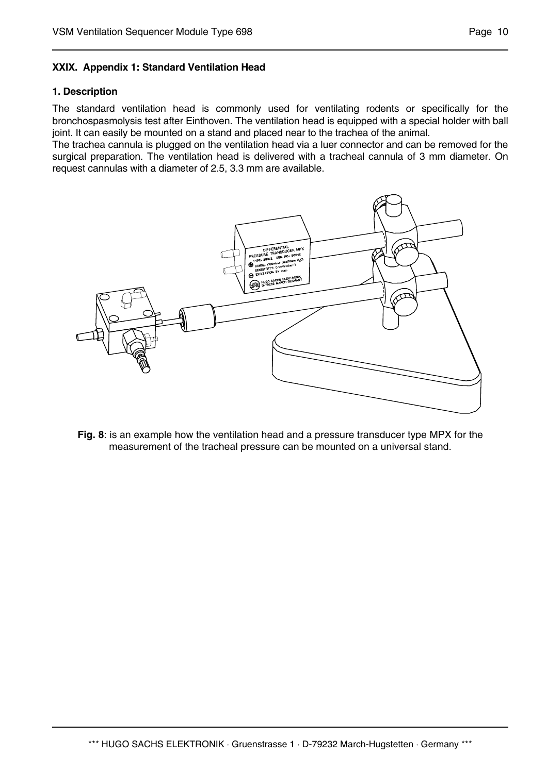## **XXIX. Appendix 1: Standard Ventilation Head**

#### **1. Description**

The standard ventilation head is commonly used for ventilating rodents or specifically for the bronchospasmolysis test after Einthoven. The ventilation head is equipped with a special holder with ball joint. It can easily be mounted on a stand and placed near to the trachea of the animal.

The trachea cannula is plugged on the ventilation head via a luer connector and can be removed for the surgical preparation. The ventilation head is delivered with a tracheal cannula of 3 mm diameter. On request cannulas with a diameter of 2.5, 3.3 mm are available.



**Fig. 8**: is an example how the ventilation head and a pressure transducer type MPX for the measurement of the tracheal pressure can be mounted on a universal stand.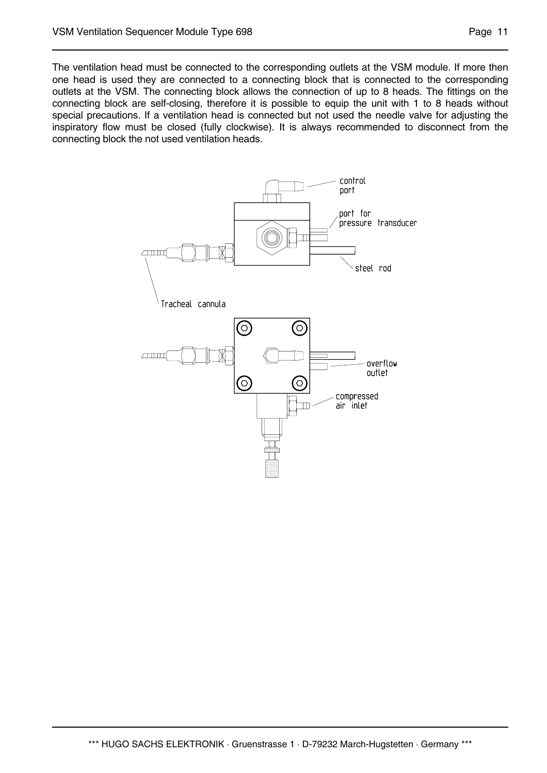The ventilation head must be connected to the corresponding outlets at the VSM module. If more then one head is used they are connected to a connecting block that is connected to the corresponding outlets at the VSM. The connecting block allows the connection of up to 8 heads. The fittings on the connecting block are self-closing, therefore it is possible to equip the unit with 1 to 8 heads without special precautions. If a ventilation head is connected but not used the needle valve for adjusting the inspiratory flow must be closed (fully clockwise). It is always recommended to disconnect from the connecting block the not used ventilation heads.

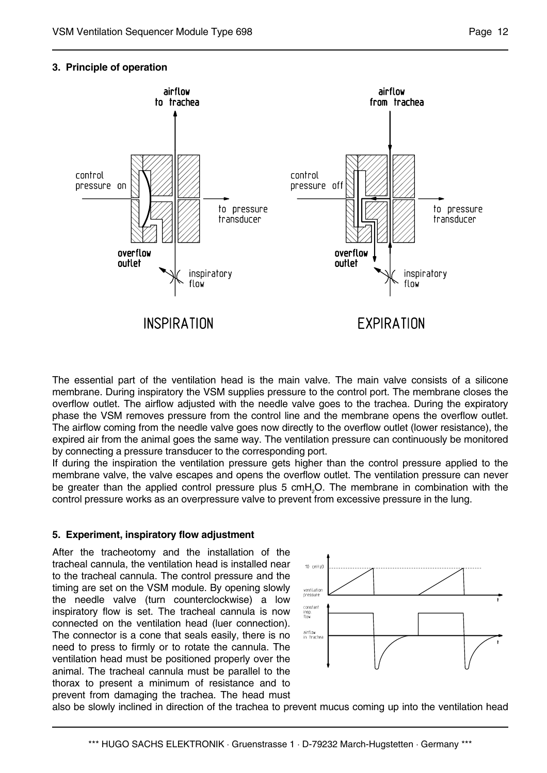#### **3. Principle of operation**



The essential part of the ventilation head is the main valve. The main valve consists of a silicone membrane. During inspiratory the VSM supplies pressure to the control port. The membrane closes the overflow outlet. The airflow adjusted with the needle valve goes to the trachea. During the expiratory phase the VSM removes pressure from the control line and the membrane opens the overflow outlet. The airflow coming from the needle valve goes now directly to the overflow outlet (lower resistance), the expired air from the animal goes the same way. The ventilation pressure can continuously be monitored by connecting a pressure transducer to the corresponding port.

If during the inspiration the ventilation pressure gets higher than the control pressure applied to the membrane valve, the valve escapes and opens the overflow outlet. The ventilation pressure can never be greater than the applied control pressure plus 5 cmH<sub>2</sub>O. The membrane in combination with the control pressure works as an overpressure valve to prevent from excessive pressure in the lung.

#### **5. Experiment, inspiratory flow adjustment**

After the tracheotomy and the installation of the tracheal cannula, the ventilation head is installed near to the tracheal cannula. The control pressure and the timing are set on the VSM module. By opening slowly the needle valve (turn counterclockwise) a low inspiratory flow is set. The tracheal cannula is now connected on the ventilation head (luer connection). The connector is a cone that seals easily, there is no need to press to firmly or to rotate the cannula. The ventilation head must be positioned properly over the animal. The tracheal cannula must be parallel to the thorax to present a minimum of resistance and to prevent from damaging the trachea. The head must



also be slowly inclined in direction of the trachea to prevent mucus coming up into the ventilation head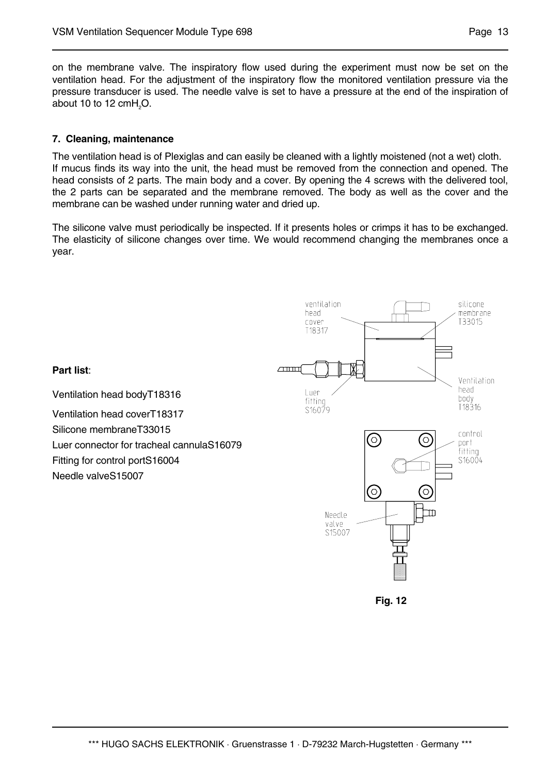on the membrane valve. The inspiratory flow used during the experiment must now be set on the ventilation head. For the adjustment of the inspiratory flow the monitored ventilation pressure via the pressure transducer is used. The needle valve is set to have a pressure at the end of the inspiration of about 10 to 12 cm $H_2O$ .

## **7. Cleaning, maintenance**

The ventilation head is of Plexiglas and can easily be cleaned with a lightly moistened (not a wet) cloth. If mucus finds its way into the unit, the head must be removed from the connection and opened. The head consists of 2 parts. The main body and a cover. By opening the 4 screws with the delivered tool, the 2 parts can be separated and the membrane removed. The body as well as the cover and the membrane can be washed under running water and dried up.

The silicone valve must periodically be inspected. If it presents holes or crimps it has to be exchanged. The elasticity of silicone changes over time. We would recommend changing the membranes once a year.

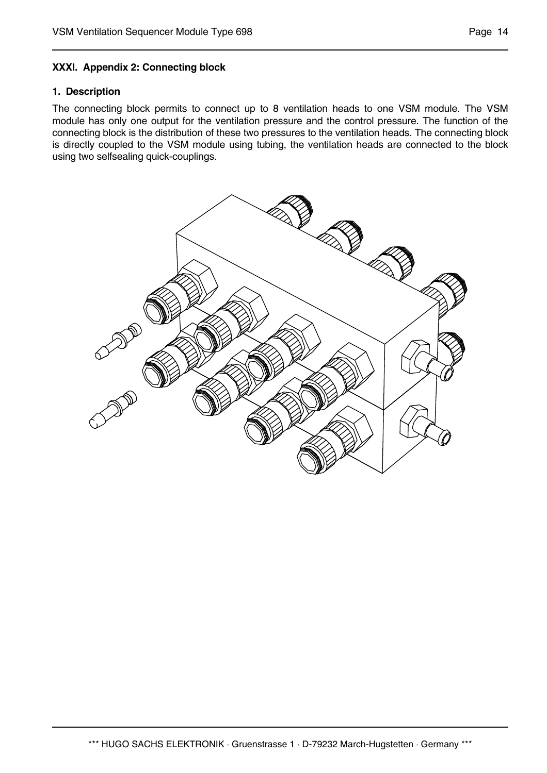## **XXXI. Appendix 2: Connecting block**

#### **1. Description**

The connecting block permits to connect up to 8 ventilation heads to one VSM module. The VSM module has only one output for the ventilation pressure and the control pressure. The function of the connecting block is the distribution of these two pressures to the ventilation heads. The connecting block is directly coupled to the VSM module using tubing, the ventilation heads are connected to the block using two selfsealing quick-couplings.

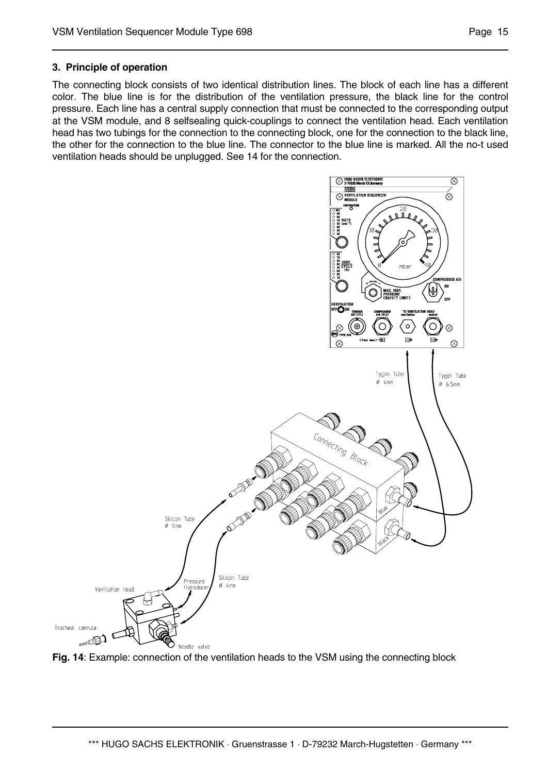The connecting block consists of two identical distribution lines. The block of each line has a different color. The blue line is for the distribution of the ventilation pressure, the black line for the control pressure. Each line has a central supply connection that must be connected to the corresponding output at the VSM module, and 8 selfsealing quick-couplings to connect the ventilation head. Each ventilation head has two tubings for the connection to the connecting block, one for the connection to the black line, the other for the connection to the blue line. The connector to the blue line is marked. All the no-t used ventilation heads should be unplugged. See 14 for the connection.



**Fig. 14**: Example: connection of the ventilation heads to the VSM using the connecting block